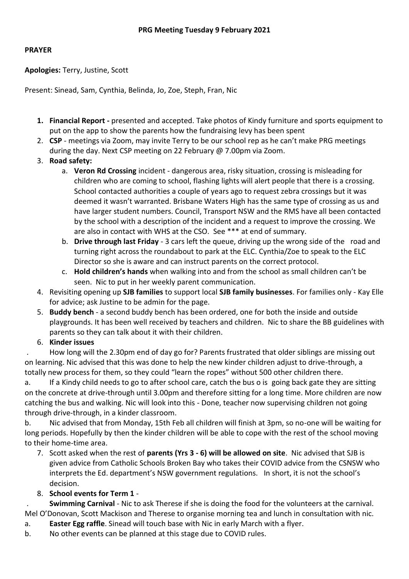## **PRAYER**

**Apologies:** Terry, Justine, Scott

Present: Sinead, Sam, Cynthia, Belinda, Jo, Zoe, Steph, Fran, Nic

- **1. Financial Report -** presented and accepted. Take photos of Kindy furniture and sports equipment to put on the app to show the parents how the fundraising levy has been spent
- 2. **CSP** meetings via Zoom, may invite Terry to be our school rep as he can't make PRG meetings during the day. Next CSP meeting on 22 February @ 7.00pm via Zoom.
- 3. **Road safety:**
	- a. **Veron Rd Crossing** incident dangerous area, risky situation, crossing is misleading for children who are coming to school, flashing lights will alert people that there is a crossing. School contacted authorities a couple of years ago to request zebra crossings but it was deemed it wasn't warranted. Brisbane Waters High has the same type of crossing as us and have larger student numbers. Council, Transport NSW and the RMS have all been contacted by the school with a description of the incident and a request to improve the crossing. We are also in contact with WHS at the CSO. See \*\*\* at end of summary.
	- b. **Drive through last Friday** 3 cars left the queue, driving up the wrong side of the road and turning right across the roundabout to park at the ELC. Cynthia/Zoe to speak to the ELC Director so she is aware and can instruct parents on the correct protocol.
	- c. **Hold children's hands** when walking into and from the school as small children can't be seen. Nic to put in her weekly parent communication.
- 4. Revisiting opening up **SJB families** to support local **SJB family businesses**. For families only Kay Elle for advice; ask Justine to be admin for the page.
- 5. **Buddy bench** a second buddy bench has been ordered, one for both the inside and outside playgrounds. It has been well received by teachers and children. Nic to share the BB guidelines with parents so they can talk about it with their children.
- 6. **Kinder issues**

. How long will the 2.30pm end of day go for? Parents frustrated that older siblings are missing out on learning. Nic advised that this was done to help the new kinder children adjust to drive-through, a totally new process for them, so they could "learn the ropes" without 500 other children there.

a. If a Kindy child needs to go to after school care, catch the bus o is going back gate they are sitting on the concrete at drive-through until 3.00pm and therefore sitting for a long time. More children are now catching the bus and walking. Nic will look into this - Done, teacher now supervising children not going through drive-through, in a kinder classroom.

b. Nic advised that from Monday, 15th Feb all children will finish at 3pm, so no-one will be waiting for long periods. Hopefully by then the kinder children will be able to cope with the rest of the school moving to their home-time area.

7. Scott asked when the rest of **parents (Yrs 3 - 6) will be allowed on site**. Nic advised that SJB is given advice from Catholic Schools Broken Bay who takes their COVID advice from the CSNSW who interprets the Ed. department's NSW government regulations. In short, it is not the school's decision.

## 8. **School events for Term 1** -

. **Swimming Carnival** - Nic to ask Therese if she is doing the food for the volunteers at the carnival. Mel O'Donovan, Scott Mackison and Therese to organise morning tea and lunch in consultation with nic.

- a. **Easter Egg raffle**. Sinead will touch base with Nic in early March with a flyer.
- b. No other events can be planned at this stage due to COVID rules.